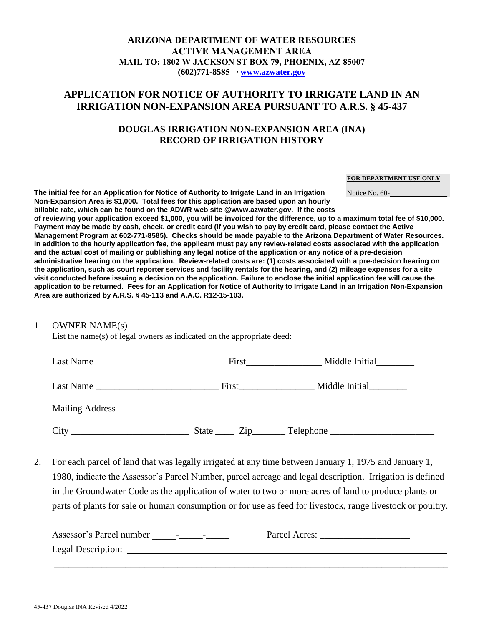### **ARIZONA DEPARTMENT OF WATER RESOURCES ACTIVE MANAGEMENT AREA MAIL TO: 1802 W JACKSON ST BOX 79, PHOENIX, AZ 85007 (602)771-8585 ∙ [www.azwater.gov](http://www.azwater.gov/)**

# **APPLICATION FOR NOTICE OF AUTHORITY TO IRRIGATE LAND IN AN IRRIGATION NON-EXPANSION AREA PURSUANT TO A.R.S. § 45-437**

## **DOUGLAS IRRIGATION NON-EXPANSION AREA (INA) RECORD OF IRRIGATION HISTORY**

#### **FOR DEPARTMENT USE ONLY**

Notice No. 60-

**The initial fee for an Application for Notice of Authority to Irrigate Land in an Irrigation Non-Expansion Area is \$1,000. Total fees for this application are based upon an hourly billable rate, which can be found on the ADWR web site @www.azwater.gov. If the costs** 

**of reviewing your application exceed \$1,000, you will be invoiced for the difference, up to a maximum total fee of \$10,000. Payment may be made by cash, check, or credit card (if you wish to pay by credit card, please contact the Active Management Program at 602-771-8585). Checks should be made payable to the Arizona Department of Water Resources. In addition to the hourly application fee, the applicant must pay any review-related costs associated with the application and the actual cost of mailing or publishing any legal notice of the application or any notice of a pre-decision administrative hearing on the application. Review-related costs are: (1) costs associated with a pre-decision hearing on the application, such as court reporter services and facility rentals for the hearing, and (2) mileage expenses for a site visit conducted before issuing a decision on the application. Failure to enclose the initial application fee will cause the application to be returned. Fees for an Application for Notice of Authority to Irrigate Land in an Irrigation Non-Expansion Area are authorized by A.R.S. § 45-113 and A.A.C. R12-15-103.** 

### 1. OWNER NAME(s)

List the name(s) of legal owners as indicated on the appropriate deed:

| Last Name              | First                     | Middle Initial |  |
|------------------------|---------------------------|----------------|--|
| Last Name              | First                     | Middle Initial |  |
| <b>Mailing Address</b> |                           |                |  |
| City                   | $\mathsf{Zip}\_$<br>State | Telephone      |  |

2. For each parcel of land that was legally irrigated at any time between January 1, 1975 and January 1, 1980, indicate the Assessor's Parcel Number, parcel acreage and legal description. Irrigation is defined in the Groundwater Code as the application of water to two or more acres of land to produce plants or parts of plants for sale or human consumption or for use as feed for livestock, range livestock or poultry.

| Assessor's Parcel number<br>$\overline{\phantom{0}}$ | Parcel Acres:<br>$\overline{\phantom{0}}$ |  |
|------------------------------------------------------|-------------------------------------------|--|
| Legal Description:                                   |                                           |  |
|                                                      |                                           |  |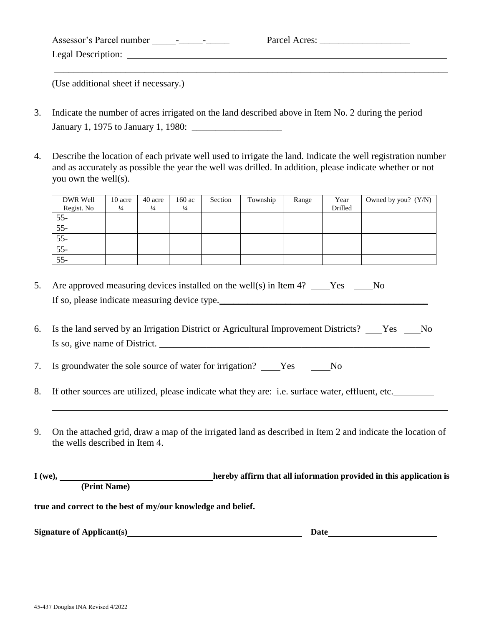| Assessor's Parcel number<br>$\sim$<br>$\overline{\phantom{0}}$ | Parcel Acres: |
|----------------------------------------------------------------|---------------|
| Legal Description:                                             |               |
|                                                                |               |

(Use additional sheet if necessary.)

- 3. Indicate the number of acres irrigated on the land described above in Item No. 2 during the period January 1, 1975 to January 1, 1980: \_\_\_\_\_\_\_\_\_\_\_\_\_\_\_\_\_\_\_
- 4. Describe the location of each private well used to irrigate the land. Indicate the well registration number and as accurately as possible the year the well was drilled. In addition, please indicate whether or not you own the well(s).

| DWR Well   | 10 acre       | 40 acre       | 160 ac        | Section | Township | Range | Year    | Owned by you? $(Y/N)$ |
|------------|---------------|---------------|---------------|---------|----------|-------|---------|-----------------------|
| Regist. No | $\frac{1}{4}$ | $\frac{1}{4}$ | $\frac{1}{4}$ |         |          |       | Drilled |                       |
| $55 -$     |               |               |               |         |          |       |         |                       |
| $55 -$     |               |               |               |         |          |       |         |                       |
| $55 -$     |               |               |               |         |          |       |         |                       |
| $55 -$     |               |               |               |         |          |       |         |                       |
| $55 -$     |               |               |               |         |          |       |         |                       |

- 5. Are approved measuring devices installed on the well(s) in Item 4? Yes No If so, please indicate measuring device type.
- 6. Is the land served by an Irrigation District or Agricultural Improvement Districts? \_\_\_Yes \_\_\_No Is so, give name of District.  $\frac{1}{\sqrt{2\pi}}$

7. Is groundwater the sole source of water for irrigation? Yes No

- 8. If other sources are utilized, please indicate what they are: i.e. surface water, effluent, etc.
- 9. On the attached grid, draw a map of the irrigated land as described in Item 2 and indicate the location of the wells described in Item 4.

**I** (we), **hereby affirm that all information provided in this application is (Print Name)** 

**true and correct to the best of my/our knowledge and belief.** 

**Signature of Applicant(s)** Date